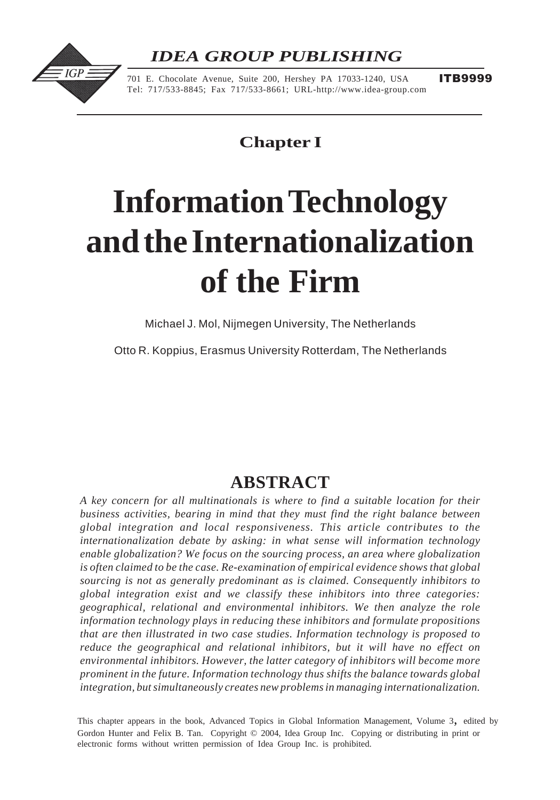# *IDEA GROUP PUBLISHING*



701 E. Chocolate Avenue, Suite 200, Hershey PA 17033-1240, USA Tel: 717/533-8845; Fax 717/533-8661; URL-http://www.idea-group.com

**ITB9999** 

# **Chapter I**

# **Information Technology and the Internationalization of the Firm**

Michael J. Mol, Nijmegen University, The Netherlands

Otto R. Koppius, Erasmus University Rotterdam, The Netherlands

# **ABSTRACT**

*A key concern for all multinationals is where to find a suitable location for their business activities, bearing in mind that they must find the right balance between global integration and local responsiveness. This article contributes to the internationalization debate by asking: in what sense will information technology enable globalization? We focus on the sourcing process, an area where globalization is often claimed to be the case. Re-examination of empirical evidence shows that global sourcing is not as generally predominant as is claimed. Consequently inhibitors to global integration exist and we classify these inhibitors into three categories: geographical, relational and environmental inhibitors. We then analyze the role information technology plays in reducing these inhibitors and formulate propositions that are then illustrated in two case studies. Information technology is proposed to reduce the geographical and relational inhibitors, but it will have no effect on environmental inhibitors. However, the latter category of inhibitors will become more prominent in the future. Information technology thus shifts the balance towards global integration, but simultaneously creates new problems in managing internationalization.*

 $\sum_{n=1}^{\infty}$   $\sum_{n=1}^{\infty}$   $\sum_{n=1}^{\infty}$   $\sum_{n=1}^{\infty}$   $\sum_{n=1}^{\infty}$   $\sum_{n=1}^{\infty}$   $\sum_{n=1}^{\infty}$   $\sum_{n=1}^{\infty}$   $\sum_{n=1}^{\infty}$   $\sum_{n=1}^{\infty}$   $\sum_{n=1}^{\infty}$   $\sum_{n=1}^{\infty}$   $\sum_{n=1}^{\infty}$   $\sum_{n=1}^{\infty}$   $\sum_{n=1}^{\in$ Gordon Hunter and Felix B. Tan. Copyright © 2004, Idea Group Inc. Copying or distributing in print or This chapter appears in the book, Advanced Topics in Global Information Management, Volume 3, edited by electronic forms without written permission of Idea Group Inc. is prohibited.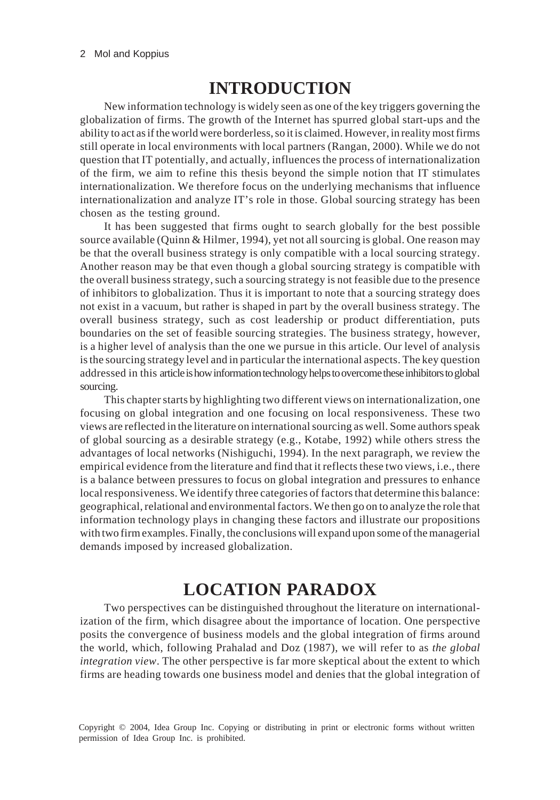## **INTRODUCTION**

New information technology is widely seen as one of the key triggers governing the globalization of firms. The growth of the Internet has spurred global start-ups and the ability to act as if the world were borderless, so it is claimed. However, in reality most firms still operate in local environments with local partners (Rangan, 2000). While we do not question that IT potentially, and actually, influences the process of internationalization of the firm, we aim to refine this thesis beyond the simple notion that IT stimulates internationalization. We therefore focus on the underlying mechanisms that influence internationalization and analyze IT's role in those. Global sourcing strategy has been chosen as the testing ground.

It has been suggested that firms ought to search globally for the best possible source available (Quinn & Hilmer, 1994), yet not all sourcing is global. One reason may be that the overall business strategy is only compatible with a local sourcing strategy. Another reason may be that even though a global sourcing strategy is compatible with the overall business strategy, such a sourcing strategy is not feasible due to the presence of inhibitors to globalization. Thus it is important to note that a sourcing strategy does not exist in a vacuum, but rather is shaped in part by the overall business strategy. The overall business strategy, such as cost leadership or product differentiation, puts boundaries on the set of feasible sourcing strategies. The business strategy, however, is a higher level of analysis than the one we pursue in this article. Our level of analysis is the sourcing strategy level and in particular the international aspects. The key question addressed in this article is how information technology helps to overcome these inhibitors to global sourcing.

This chapter starts by highlighting two different views on internationalization, one focusing on global integration and one focusing on local responsiveness. These two views are reflected in the literature on international sourcing as well. Some authors speak of global sourcing as a desirable strategy (e.g., Kotabe, 1992) while others stress the advantages of local networks (Nishiguchi, 1994). In the next paragraph, we review the empirical evidence from the literature and find that it reflects these two views, i.e., there is a balance between pressures to focus on global integration and pressures to enhance local responsiveness. We identify three categories of factors that determine this balance: geographical, relational and environmental factors. We then go on to analyze the role that information technology plays in changing these factors and illustrate our propositions with two firm examples. Finally, the conclusions will expand upon some of the managerial demands imposed by increased globalization.

# **LOCATION PARADOX**

Two perspectives can be distinguished throughout the literature on internationalization of the firm, which disagree about the importance of location. One perspective posits the convergence of business models and the global integration of firms around the world, which, following Prahalad and Doz (1987), we will refer to as *the global integration view*. The other perspective is far more skeptical about the extent to which firms are heading towards one business model and denies that the global integration of